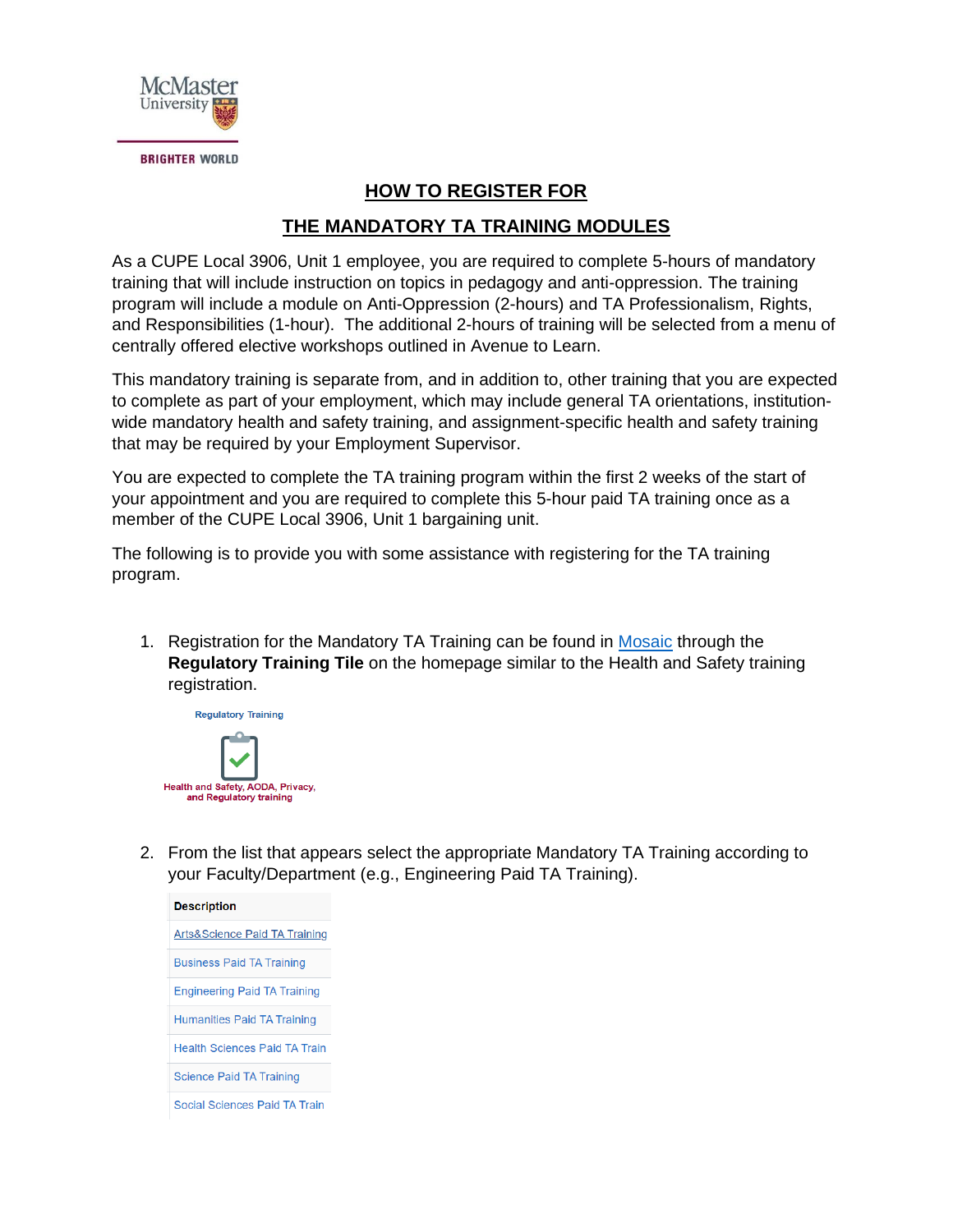

## **HOW TO REGISTER FOR**

## **THE MANDATORY TA TRAINING MODULES**

As a CUPE Local 3906, Unit 1 employee, you are required to complete 5-hours of mandatory training that will include instruction on topics in pedagogy and anti-oppression. The training program will include a module on Anti-Oppression (2-hours) and TA Professionalism, Rights, and Responsibilities (1-hour). The additional 2-hours of training will be selected from a menu of centrally offered elective workshops outlined in Avenue to Learn.

This mandatory training is separate from, and in addition to, other training that you are expected to complete as part of your employment, which may include general TA orientations, institutionwide mandatory health and safety training, and assignment-specific health and safety training that may be required by your Employment Supervisor.

You are expected to complete the TA training program within the first 2 weeks of the start of your appointment and you are required to complete this 5-hour paid TA training once as a member of the CUPE Local 3906, Unit 1 bargaining unit.

The following is to provide you with some assistance with registering for the TA training program.

1. Registration for the Mandatory TA Training can be found in [Mosaic](https://epprd.mcmaster.ca/psp/prepprd/?cmd=login&languageCd=ENG&) through the **Regulatory Training Tile** on the homepage similar to the Health and Safety training registration.



2. From the list that appears select the appropriate Mandatory TA Training according to your Faculty/Department (e.g., Engineering Paid TA Training).